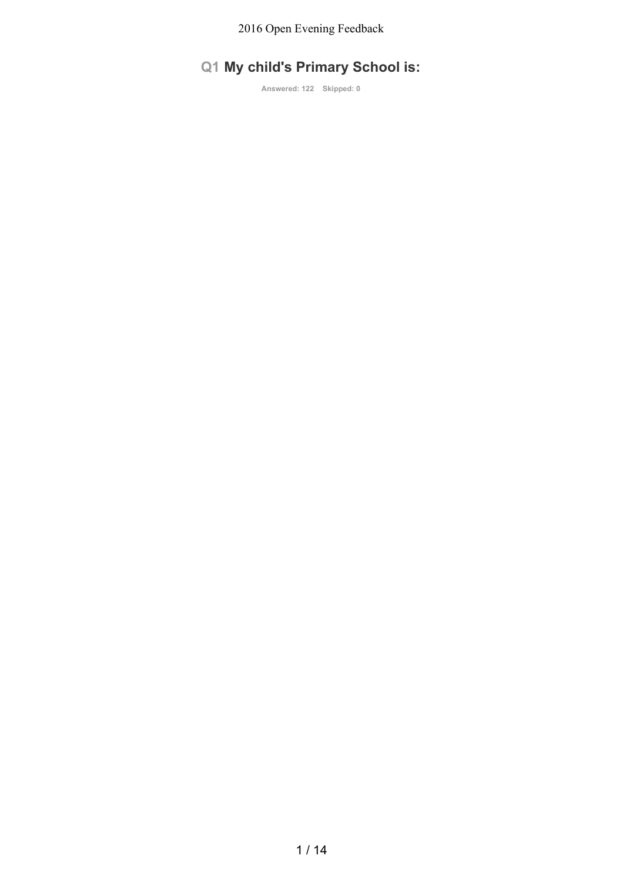# **Q1 My child's Primary School is:**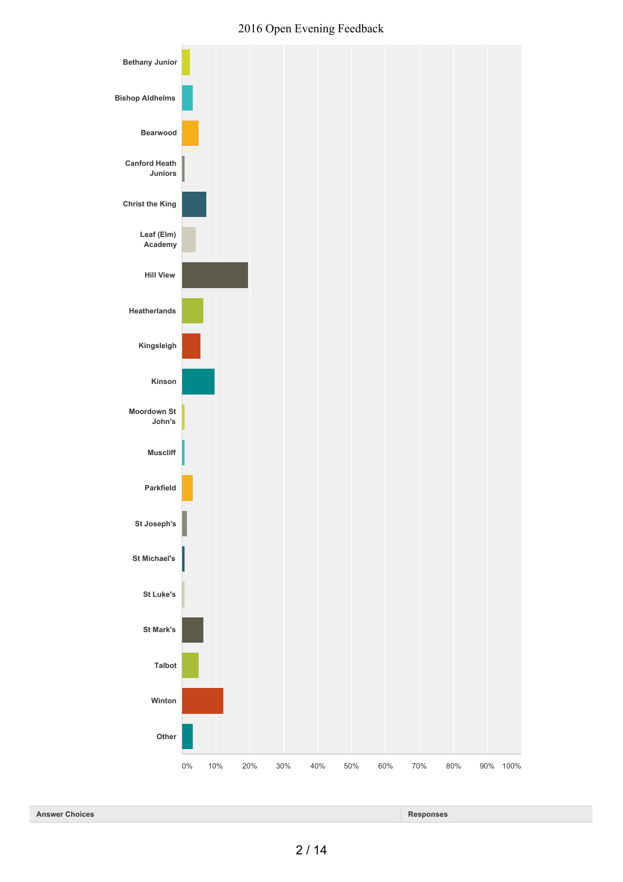

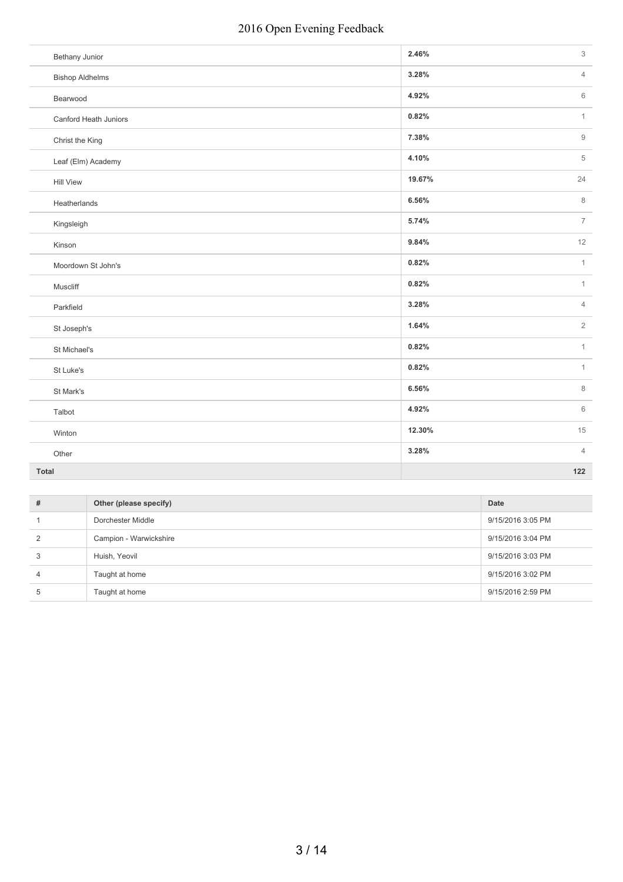| <b>Bethany Junior</b>  | 2.46%  | 3              |
|------------------------|--------|----------------|
| <b>Bishop Aldhelms</b> | 3.28%  | $\overline{4}$ |
| Bearwood               | 4.92%  | 6              |
| Canford Heath Juniors  | 0.82%  | $\mathbf{1}$   |
| Christ the King        | 7.38%  | $\overline{9}$ |
| Leaf (Elm) Academy     | 4.10%  | 5              |
| <b>Hill View</b>       | 19.67% | 24             |
| Heatherlands           | 6.56%  | 8              |
| Kingsleigh             | 5.74%  | $\overline{7}$ |
| Kinson                 | 9.84%  | 12             |
| Moordown St John's     | 0.82%  | $\mathbf{1}$   |
| Muscliff               | 0.82%  | $\mathbf{1}$   |
| Parkfield              | 3.28%  | $\overline{4}$ |
| St Joseph's            | 1.64%  | $\overline{2}$ |
| St Michael's           | 0.82%  | $\mathbf{1}$   |
| St Luke's              | 0.82%  | $\mathbf{1}$   |
| St Mark's              | 6.56%  | $\,8\,$        |
| Talbot                 | 4.92%  | 6              |
| Winton                 | 12.30% | 15             |
| Other                  | 3.28%  | $\overline{4}$ |
| Total                  |        | 122            |

| # | Other (please specify) | Date              |
|---|------------------------|-------------------|
|   | Dorchester Middle      | 9/15/2016 3:05 PM |
|   | Campion - Warwickshire | 9/15/2016 3:04 PM |
| 3 | Huish, Yeovil          | 9/15/2016 3:03 PM |
| 4 | Taught at home         | 9/15/2016 3:02 PM |
| h | Taught at home         | 9/15/2016 2:59 PM |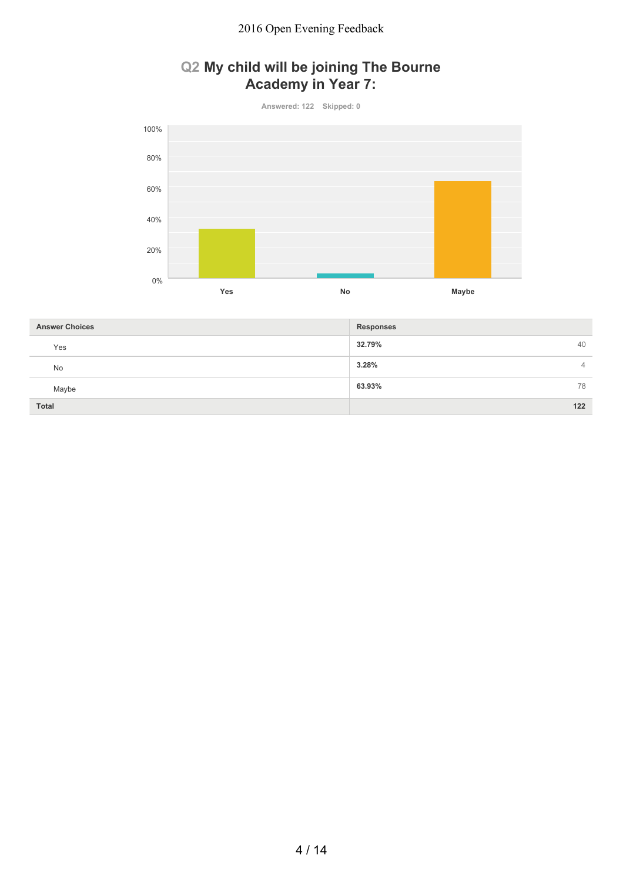## **Q2 My child will be joining The Bourne Academy in Year 7:**



| <b>Answer Choices</b> | <b>Responses</b> |
|-----------------------|------------------|
| Yes                   | 32.79%<br>40     |
| <b>No</b>             | 3.28%<br>4       |
| Maybe                 | 63.93%<br>78     |
| <b>Total</b>          | 122              |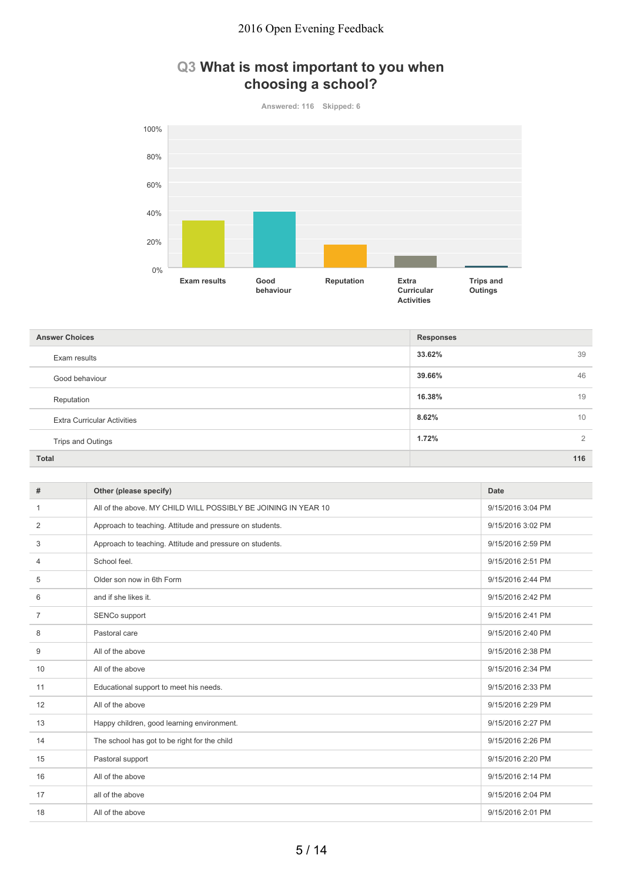### **Q3 What is most important to you when choosing a school?**



| <b>Answer Choices</b>              | <b>Responses</b> |
|------------------------------------|------------------|
| Exam results                       | 33.62%<br>39     |
| Good behaviour                     | 39.66%<br>46     |
| Reputation                         | 16.38%<br>19     |
| <b>Extra Curricular Activities</b> | 8.62%<br>10      |
| Trips and Outings                  | 1.72%<br>2       |
| <b>Total</b>                       | 116              |

| #              | Other (please specify)                                         | Date              |
|----------------|----------------------------------------------------------------|-------------------|
| -1             | All of the above. MY CHILD WILL POSSIBLY BE JOINING IN YEAR 10 | 9/15/2016 3:04 PM |
| 2              | Approach to teaching. Attitude and pressure on students.       | 9/15/2016 3:02 PM |
| 3              | Approach to teaching. Attitude and pressure on students.       | 9/15/2016 2:59 PM |
| $\overline{4}$ | School feel.                                                   | 9/15/2016 2:51 PM |
| 5              | Older son now in 6th Form                                      | 9/15/2016 2:44 PM |
| 6              | and if she likes it.                                           | 9/15/2016 2:42 PM |
| 7              | SENCo support                                                  | 9/15/2016 2:41 PM |
| 8              | Pastoral care                                                  | 9/15/2016 2:40 PM |
| 9              | All of the above                                               | 9/15/2016 2:38 PM |
| 10             | All of the above                                               | 9/15/2016 2:34 PM |
| 11             | Educational support to meet his needs.                         | 9/15/2016 2:33 PM |
| 12             | All of the above                                               | 9/15/2016 2:29 PM |
| 13             | Happy children, good learning environment.                     | 9/15/2016 2:27 PM |
| 14             | The school has got to be right for the child                   | 9/15/2016 2:26 PM |
| 15             | Pastoral support                                               | 9/15/2016 2:20 PM |
| 16             | All of the above                                               | 9/15/2016 2:14 PM |
| 17             | all of the above                                               | 9/15/2016 2:04 PM |
| 18             | All of the above                                               | 9/15/2016 2:01 PM |
|                |                                                                |                   |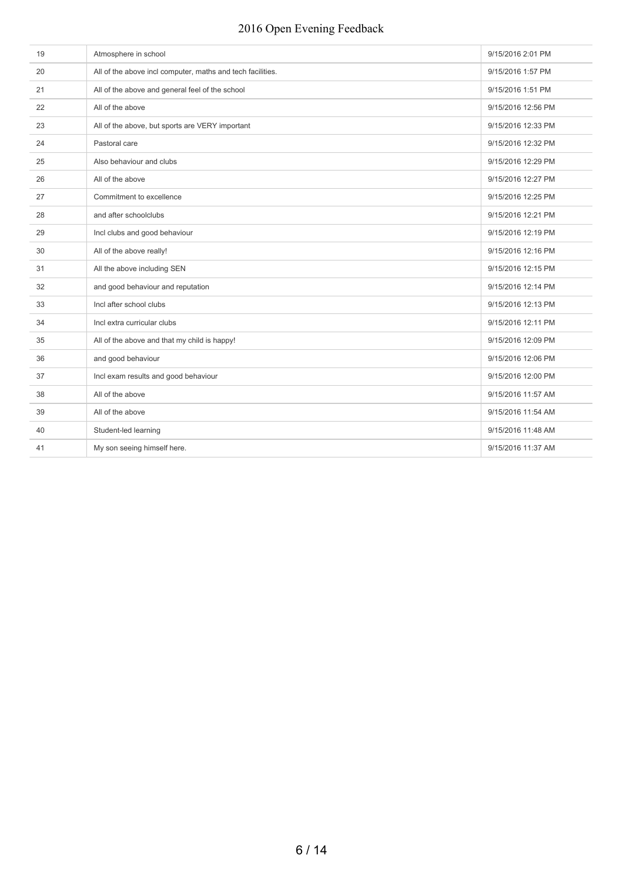| 19 | Atmosphere in school                                       | 9/15/2016 2:01 PM  |
|----|------------------------------------------------------------|--------------------|
| 20 | All of the above incl computer, maths and tech facilities. | 9/15/2016 1:57 PM  |
| 21 | All of the above and general feel of the school            | 9/15/2016 1:51 PM  |
| 22 | All of the above                                           | 9/15/2016 12:56 PM |
| 23 | All of the above, but sports are VERY important            | 9/15/2016 12:33 PM |
| 24 | Pastoral care                                              | 9/15/2016 12:32 PM |
| 25 | Also behaviour and clubs                                   | 9/15/2016 12:29 PM |
| 26 | All of the above                                           | 9/15/2016 12:27 PM |
| 27 | Commitment to excellence                                   | 9/15/2016 12:25 PM |
| 28 | and after schoolclubs                                      | 9/15/2016 12:21 PM |
| 29 | Incl clubs and good behaviour                              | 9/15/2016 12:19 PM |
| 30 | All of the above really!                                   | 9/15/2016 12:16 PM |
| 31 | All the above including SEN                                | 9/15/2016 12:15 PM |
| 32 | and good behaviour and reputation                          | 9/15/2016 12:14 PM |
| 33 | Incl after school clubs                                    | 9/15/2016 12:13 PM |
| 34 | Incl extra curricular clubs                                | 9/15/2016 12:11 PM |
| 35 | All of the above and that my child is happy!               | 9/15/2016 12:09 PM |
| 36 | and good behaviour                                         | 9/15/2016 12:06 PM |
| 37 | Incl exam results and good behaviour                       | 9/15/2016 12:00 PM |
| 38 | All of the above                                           | 9/15/2016 11:57 AM |
| 39 | All of the above                                           | 9/15/2016 11:54 AM |
| 40 | Student-led learning                                       | 9/15/2016 11:48 AM |
| 41 | My son seeing himself here.                                | 9/15/2016 11:37 AM |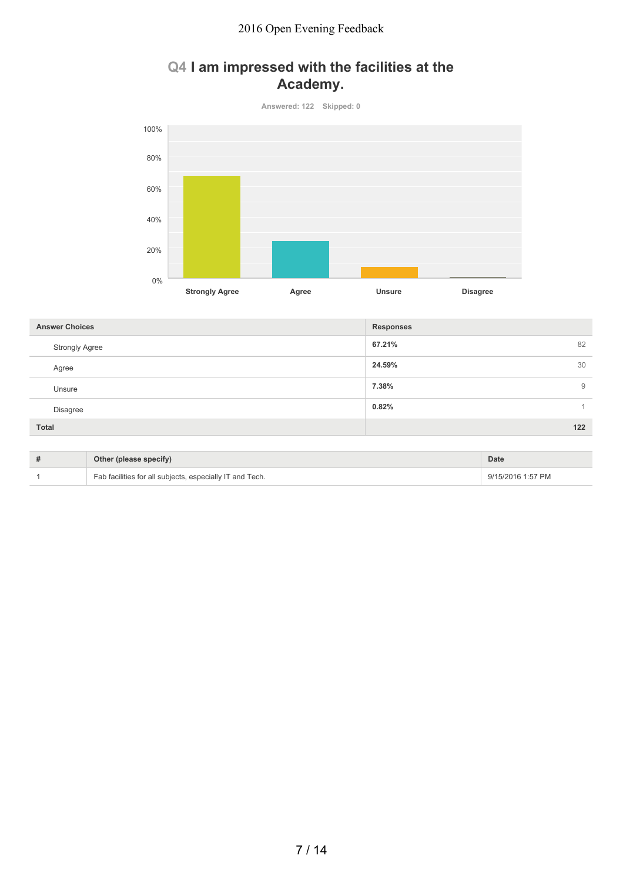### **Q4 I am impressed with the facilities at the Academy.**



| <b>Responses</b> |
|------------------|
| 67.21%<br>82     |
| 24.59%<br>30     |
| 7.38%<br>9       |
| 0.82%            |
| 122              |
|                  |

| Other (please specify)                                   | <b>Date</b>       |
|----------------------------------------------------------|-------------------|
| Fab facilities for all subjects, especially IT and Tech. | 9/15/2016 1:57 PM |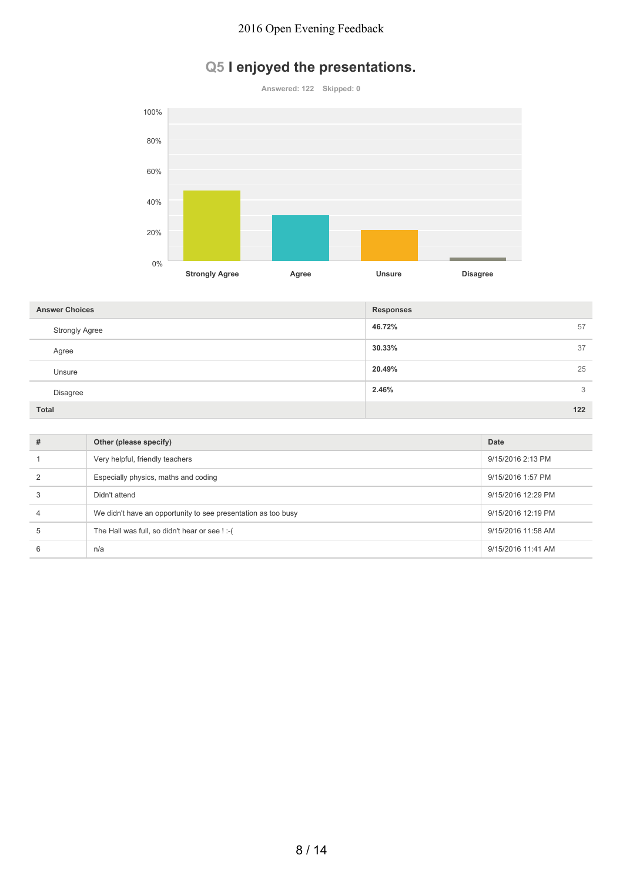# **Q5 I enjoyed the presentations.**



| <b>Answer Choices</b> | <b>Responses</b> |
|-----------------------|------------------|
| <b>Strongly Agree</b> | 57<br>46.72%     |
| Agree                 | 37<br>30.33%     |
| Unsure                | 25<br>20.49%     |
| Disagree              | 2.46%<br>3       |
| <b>Total</b>          | 122              |

| # | Other (please specify)                                        | Date               |
|---|---------------------------------------------------------------|--------------------|
|   | Very helpful, friendly teachers                               | 9/15/2016 2:13 PM  |
|   | Especially physics, maths and coding                          | 9/15/2016 1:57 PM  |
| 3 | Didn't attend                                                 | 9/15/2016 12:29 PM |
|   | We didn't have an opportunity to see presentation as too busy | 9/15/2016 12:19 PM |
| 5 | The Hall was full, so didn't hear or see !:- (                | 9/15/2016 11:58 AM |
| 6 | n/a                                                           | 9/15/2016 11:41 AM |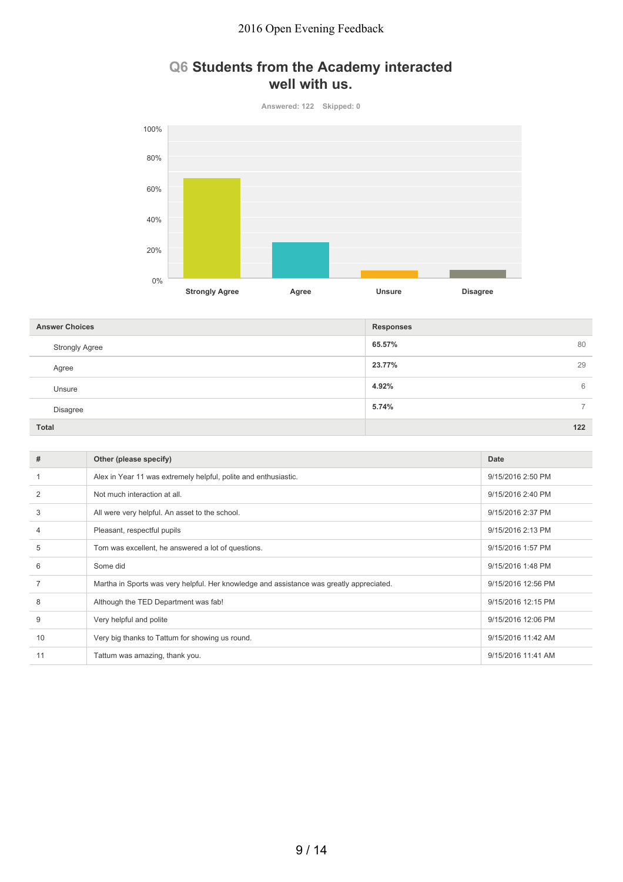### **Q6 Students from the Academy interacted well with us.**



| <b>Answer Choices</b> | <b>Responses</b>                  |
|-----------------------|-----------------------------------|
| <b>Strongly Agree</b> | 65.57%<br>80                      |
| Agree                 | 23.77%<br>29                      |
| Unsure                | 4.92%<br>6                        |
| Disagree              | 5.74%<br>$\overline{\phantom{0}}$ |
| <b>Total</b>          | 122                               |

| #  | Other (please specify)                                                                   | Date               |
|----|------------------------------------------------------------------------------------------|--------------------|
|    | Alex in Year 11 was extremely helpful, polite and enthusiastic.                          | 9/15/2016 2:50 PM  |
| 2  | Not much interaction at all.                                                             | 9/15/2016 2:40 PM  |
| 3  | All were very helpful. An asset to the school.                                           | 9/15/2016 2:37 PM  |
|    | Pleasant, respectful pupils                                                              | 9/15/2016 2:13 PM  |
| 5  | Tom was excellent, he answered a lot of questions.                                       | 9/15/2016 1:57 PM  |
| 6  | Some did                                                                                 | 9/15/2016 1:48 PM  |
|    | Martha in Sports was very helpful. Her knowledge and assistance was greatly appreciated. | 9/15/2016 12:56 PM |
| 8  | Although the TED Department was fab!                                                     | 9/15/2016 12:15 PM |
| 9  | Very helpful and polite                                                                  | 9/15/2016 12:06 PM |
| 10 | Very big thanks to Tattum for showing us round.                                          | 9/15/2016 11:42 AM |
| 11 | Tattum was amazing, thank you.                                                           | 9/15/2016 11:41 AM |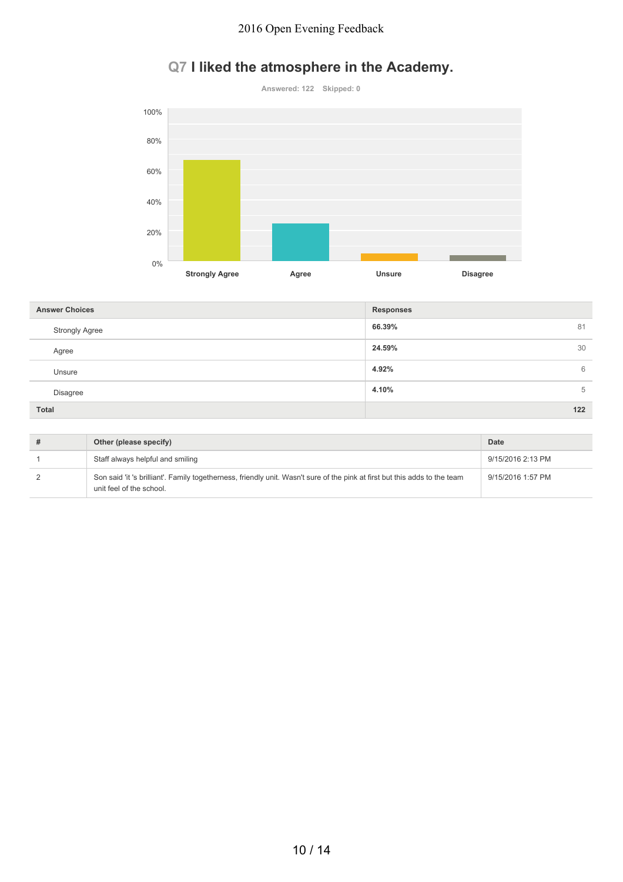# **Q7 I liked the atmosphere in the Academy.**



| <b>Answer Choices</b> | <b>Responses</b> |
|-----------------------|------------------|
| <b>Strongly Agree</b> | 66.39%<br>81     |
| Agree                 | 24.59%<br>30     |
| Unsure                | 4.92%<br>6       |
| <b>Disagree</b>       | 4.10%<br>5       |
| Total                 | $122$            |

| Other (please specify)                                                                                                                                 | Date              |
|--------------------------------------------------------------------------------------------------------------------------------------------------------|-------------------|
| Staff always helpful and smiling                                                                                                                       | 9/15/2016 2:13 PM |
| Son said 'it 's brilliant'. Family togetherness, friendly unit. Wasn't sure of the pink at first but this adds to the team<br>unit feel of the school. | 9/15/2016 1:57 PM |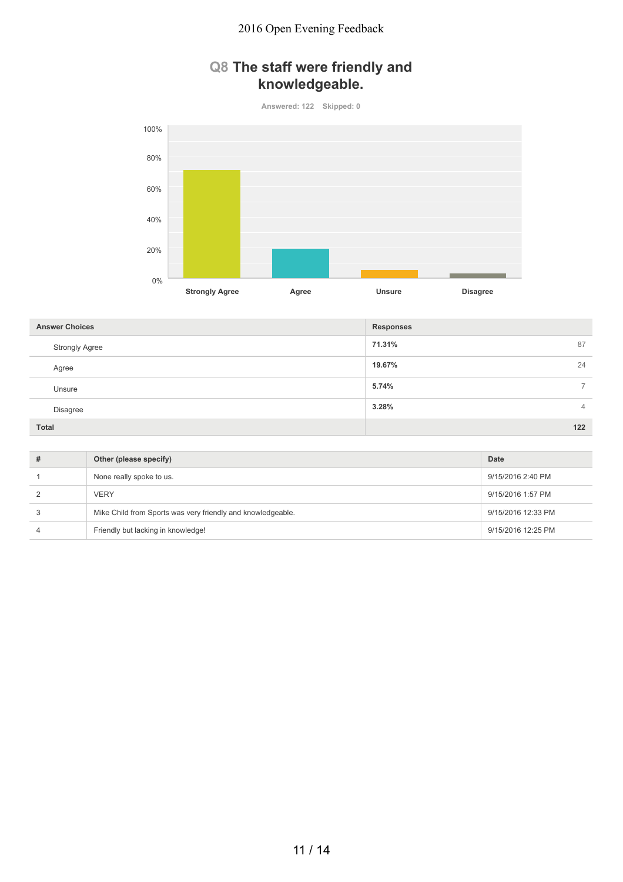## **Q8 The staff were friendly and knowledgeable.**



| <b>Answer Choices</b> | <b>Responses</b> |
|-----------------------|------------------|
| <b>Strongly Agree</b> | 71.31%<br>87     |
| Agree                 | 19.67%<br>24     |
| Unsure                | 5.74%<br>⇁       |
| Disagree              | 3.28%<br>4       |
| <b>Total</b>          | $122$            |

| # | Other (please specify)                                      | Date               |
|---|-------------------------------------------------------------|--------------------|
|   | None really spoke to us.                                    | 9/15/2016 2:40 PM  |
|   | <b>VERY</b>                                                 | 9/15/2016 1:57 PM  |
|   | Mike Child from Sports was very friendly and knowledgeable. | 9/15/2016 12:33 PM |
|   | Friendly but lacking in knowledge!                          | 9/15/2016 12:25 PM |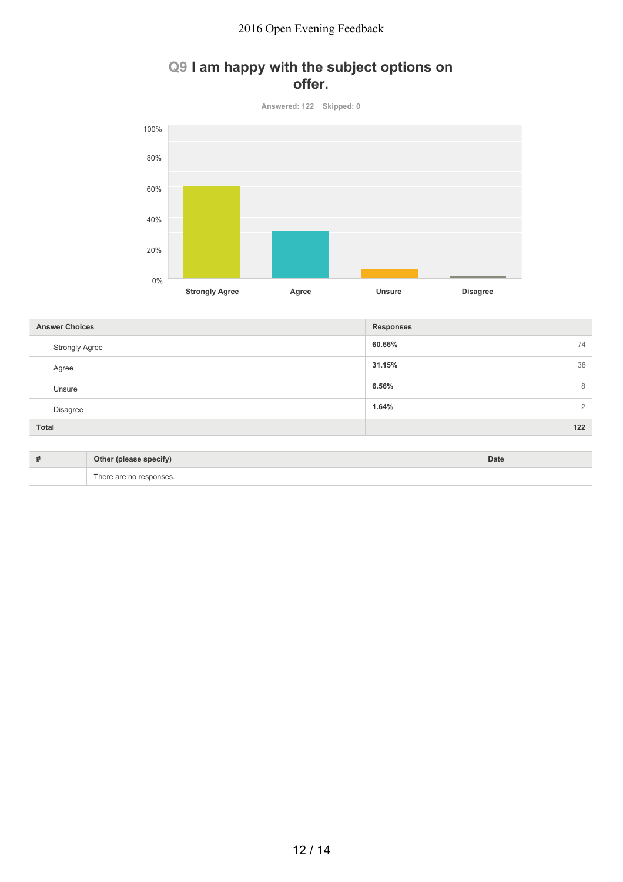## **Q9 I am happy with the subject options on offer.**



| <b>Answer Choices</b>    | <b>Responses</b>                  |
|--------------------------|-----------------------------------|
| <b>Strongly Agree</b>    | 60.66%<br>74                      |
| Agree                    | 31.15%<br>38                      |
| Unsure                   | 6.56%<br>8                        |
| Disagree                 | 1.64%<br>2                        |
| Total                    | 122                               |
| the property of the con- | <b>The Company of the Company</b> |

| Other (please specify)  | Date |
|-------------------------|------|
| There are no responses. |      |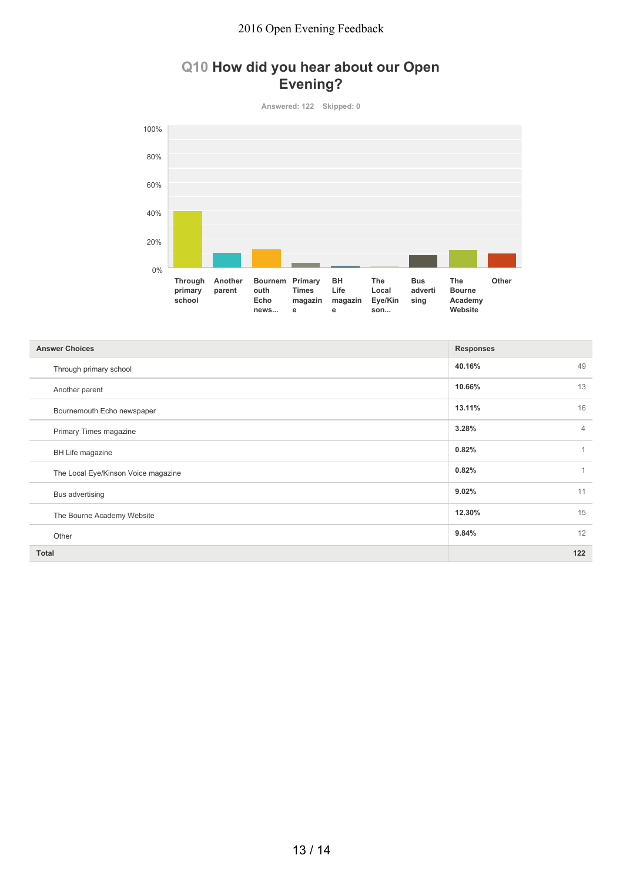### **Q10 How did you hear about our Open Evening?**



| <b>Answer Choices</b>               | <b>Responses</b> |                |
|-------------------------------------|------------------|----------------|
| Through primary school              | 40.16%           | 49             |
| Another parent                      | 10.66%           | 13             |
| Bournemouth Echo newspaper          | 13.11%           | 16             |
| Primary Times magazine              | 3.28%            | $\overline{4}$ |
| BH Life magazine                    | 0.82%            | 1              |
| The Local Eye/Kinson Voice magazine | 0.82%            | $\mathbf{1}$   |
| Bus advertising                     | 9.02%            | 11             |
| The Bourne Academy Website          | 12.30%           | 15             |
| Other                               | 9.84%            | 12             |
| <b>Total</b>                        |                  | $122$          |